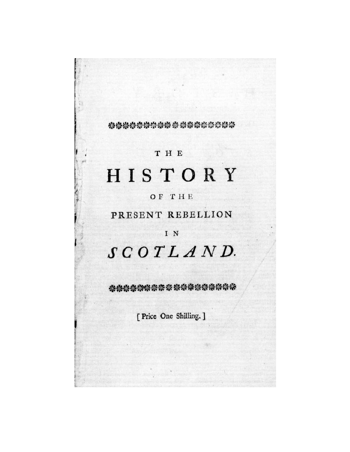### \*\*\*\*\*\*\*\*\*\*\*\*\*\*\*\*\*\*\*

## T H E

# HISTORY

## OF THE

## PRESENT REBELLION

### IN

# SCOTLAND.

动物链接物体 计数据数据数据数据

[ Price One Shilling. ]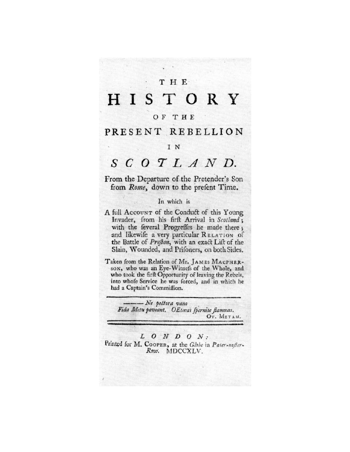### THE.

#### H I STORY

#### OF THE

### PRESENT REBELLION

#### IN

# $S C O T L A N D.$

From the Departure of the Pretender's Son from Rome, down to the prefent Time.

#### In which is

- A full Account of the Conduct of this Young Invader, from his firft Arrival in Scotland; with the feveral Progreffes he made there; and likewife a very particular RELATION of the Battle of Prefton, with an exact Lift of the Slain, Wounded, and Prifoners, on both Sides.
- Taken from the Relation of Mr. JAMES MACPHERson, who was an Eye-Witnefs of the Whole, and who took the firft Opportunity of leaving the Rebels, into whole Service he was forced, and in which he had a Captain's Commiffion.

 $\longrightarrow$   $N$ e pectora vano Fida Metu paveant. OEtæas spernite flammas. Ov. METAM.

#### $L$  O N D O N :

Printed for M. COOPER, at the Globe in Pater-noffer-Row. MDCCXLV.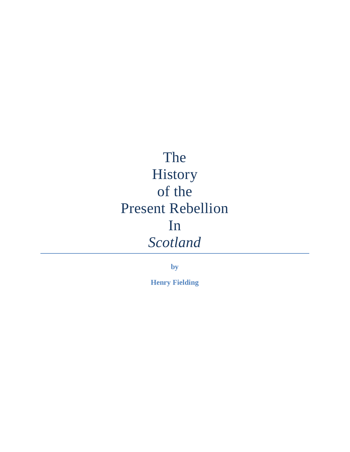# The History of the Present Rebellion In *Scotland*

**by**

**Henry Fielding**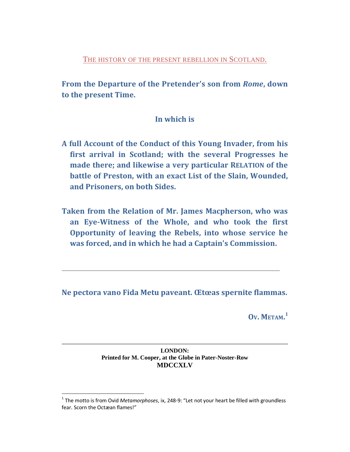THE HISTORY OF THE PRESENT REBELLION IN SCOTLAND.

From the Departure of the Pretender's son from Rome, down to the present Time.

### In which is

- A full Account of the Conduct of this Young Invader, from his first arrival in Scotland; with the several Progresses he made there; and likewise a very particular RELATION of the battle of Preston, with an exact List of the Slain, Wounded, and Prisoners, on both Sides.
- Taken from the Relation of Mr. James Macpherson, who was an Eye-Witness of the Whole, and who took the first Opportunity of leaving the Rebels, into whose service he was forced, and in which he had a Captain's Commission.

Ne pectora vano Fida Metu paveant. Œtœas spernite flammas.

 $Ov.$  METAM. $<sup>1</sup>$ </sup>

#### **LONDON:** Printed for M. Cooper, at the Globe in Pater-Noster-Row **MDCCXLV**

<span id="page-3-0"></span> $^1$  The motto is from Ovid Metamorphoses, ix, 248-9: "Let not your heart be filled with groundless fear. Scorn the Octæan flames!"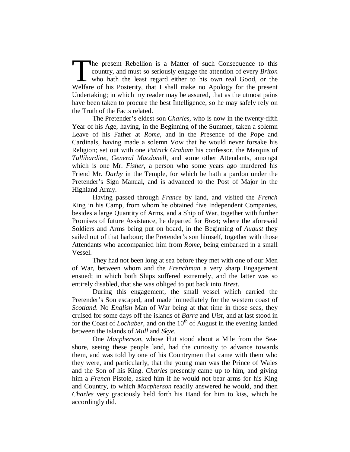he present Rebellion is a Matter of such Consequence to this country, and must so seriously engage the attention of every *Briton* who hath the least regard either to his own real Good, or the The present Rebellion is a Matter of such Consequence to this country, and must so seriously engage the attention of every *Briton* who hath the least regard either to his own real Good, or the Welfare of his Posterity, th Undertaking; in which my reader may be assured, that as the utmost pains have been taken to procure the best Intelligence, so he may safely rely on the Truth of the Facts related.

The Pretender's eldest son *Charles*, who is now in the twenty-fifth Year of his Age, having, in the Beginning of the Summer, taken a solemn Leave of his Father at *Rome*, and in the Presence of the Pope and Cardinals, having made a solemn Vow that he would never forsake his Religion; set out with one *Patrick Graham* his confessor, the Marquis of *Tullibardine*, *General Macdonell*, and some other Attendants, amongst which is one Mr. *Fisher*, a person who some years ago murdered his Friend Mr. *Darby* in the Temple, for which he hath a pardon under the Pretender's Sign Manual, and is advanced to the Post of Major in the Highland Army.

Having passed through *France* by land, and visited the *French* King in his Camp, from whom he obtained five Independent Companies, besides a large Quantity of Arms, and a Ship of War, together with further Promises of future Assistance, he departed for *Brest*; where the aforesaid Soldiers and Arms being put on board, in the Beginning of *August* they sailed out of that harbour; the Pretender's son himself, together with those Attendants who accompanied him from *Rome*, being embarked in a small Vessel.

They had not been long at sea before they met with one of our Men of War, between whom and the *Frenchman* a very sharp Engagement ensued; in which both Ships suffered extremely, and the latter was so entirely disabled, that she was obliged to put back into *Brest*.

During this engagement, the small vessel which carried the Pretender's Son escaped, and made immediately for the western coast of *Scotland*. No *English* Man of War being at that time in those seas, they cruised for some days off the islands of *Barra* and *Uist*, and at last stood in for the Coast of *Lochaber*, and on the 10<sup>th</sup> of August in the evening landed between the Islands of *Mull* and *Skye*.

One *Macpherson*, whose Hut stood about a Mile from the Seashore, seeing these people land, had the curiosity to advance towards them, and was told by one of his Countrymen that came with them who they were, and particularly, that the young man was the Prince of Wales and the Son of his King. *Charles* presently came up to him, and giving him a *French* Pistole, asked him if he would not bear arms for his King and Country, to which *Macpherson* readily answered he would, and then *Charles* very graciously held forth his Hand for him to kiss, which he accordingly did.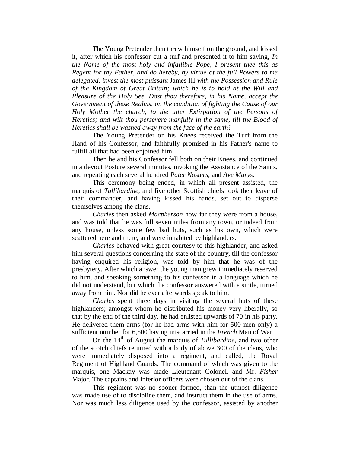The Young Pretender then threw himself on the ground, and kissed it, after which his confessor cut a turf and presented it to him saying, *In the Name of the most holy and infallible Pope, I present thee this as Regent for thy Father, and do hereby, by virtue of the full Powers to me delegated, invest the most puissant* James III *with the Possession and Rule of the Kingdom of Great Britain; which he is to hold at the Will and Pleasure of the Holy See. Dost thou therefore, in his Name, accept the Government of these Realms, on the condition of fighting the Cause of our Holy Mother the church, to the utter Extirpation of the Persons of Heretics; and wilt thou persevere manfully in the same, till the Blood of Heretics shall be washed away from the face of the earth?*

The Young Pretender on his Knees received the Turf from the Hand of his Confessor, and faithfully promised in his Father's name to fulfill all that had been enjoined him.

Then he and his Confessor fell both on their Knees, and continued in a devout Posture several minutes, invoking the Assistance of the Saints, and repeating each several hundred *Pater Nosters*, and *Ave Marys*.

This ceremony being ended, in which all present assisted, the marquis of *Tullibardine*, and five other Scottish chiefs took their leave of their commander, and having kissed his hands, set out to disperse themselves among the clans.

*Charles* then asked *Macpherson* how far they were from a house, and was told that he was full seven miles from any town, or indeed from any house, unless some few bad huts, such as his own, which were scattered here and there, and were inhabited by highlanders.

*Charles* behaved with great courtesy to this highlander, and asked him several questions concerning the state of the country, till the confessor having enquired his religion, was told by him that he was of the presbytery. After which answer the young man grew immediately reserved to him, and speaking something to his confessor in a language which he did not understand, but which the confessor answered with a smile, turned away from him. Nor did he ever afterwards speak to him.

*Charles* spent three days in visiting the several huts of these highlanders; amongst whom he distributed his money very liberally, so that by the end of the third day, he had enlisted upwards of 70 in his party. He delivered them arms (for he had arms with him for 500 men only) a sufficient number for 6,500 having miscarried in the *French* Man of War.

On the 14<sup>th</sup> of August the marquis of *Tullibardine*, and two other of the scotch chiefs returned with a body of above 300 of the clans, who were immediately disposed into a regiment, and called, the Royal Regiment of Highland Guards. The command of which was given to the marquis, one Mackay was made Lieutenant Colonel, and Mr. *Fisher* Major. The captains and inferior officers were chosen out of the clans.

This regiment was no sooner formed, than the utmost diligence was made use of to discipline them, and instruct them in the use of arms. Nor was much less diligence used by the confessor, assisted by another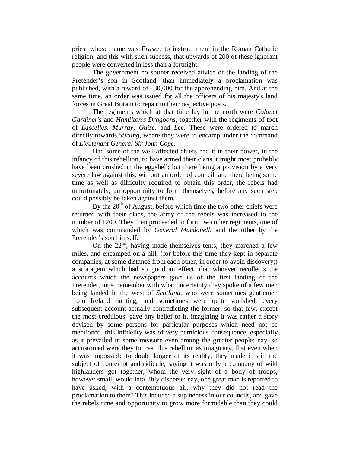priest whose name was *Fraser*, to instruct them in the Roman Catholic religion, and this with such success, that upwards of 200 of these ignorant people were converted in less than a fortnight.

The government no sooner received advice of the landing of the Pretender's son in Scotland, than immediately a proclamation was published, with a reward of £30,000 for the apprehending him. And at the same time, an order was issued for all the officers of his majesty's land forces in Great Britain to repair to their respective posts.

The regiments which at that time lay in the north were *Colonel Gardiner's* and *Hamilton's Dragoons*, together with the regiments of foot of *Lascelles*, *Murray*, *Guise*, and *Lee*. These were ordered to march directly towards *Stirling*, where they were to encamp under the command of *Lieutenant General Sir John Cope*.

Had some of the well-affected chiefs had it in their power, in the infancy of this rebellion, to have armed their clans it might most probably have been crushed in the eggshell; but there being a provision by a very severe law against this, without an order of council, and there being some time as well as difficulty required to obtain this order, the rebels had unfortunately, an opportunity to form themselves, before any such step could possibly be taken against them.

By the  $20<sup>th</sup>$  of August, before which time the two other chiefs were returned with their clans, the army of the rebels was increased to the number of 1200. They then proceeded to form two other regiments, one of which was commanded by *General Macdonell*, and the other by the Pretender's son himself.

On the 22<sup>nd</sup>, having made themselves tents, they marched a few miles, and encamped on a hill, (for before this time they kept in separate companies, at some distance from each other, in order to avoid discovery;) a stratagem which had so good an effect, that whoever recollects the accounts which the newspapers gave us of the first landing of the Pretender, must remember with what uncertainty they spoke of a few men being landed in the west of *Scotland*, who were sometimes gentlemen from Ireland hunting, and sometimes were quite vanished, every subsequent account actually contradicting the former; so that few, except the most credulous, gave any belief to it, imagining it was rather a story devised by some persons for particular purposes which need not be mentioned. this infidelity was of very pernicious consequence, especially as it prevailed in some measure even among the greater people: nay, so accustomed were they to treat this rebellion as imaginary, that even when it was impossible to doubt longer of its reality, they made it still the subject of contempt and ridicule; saying it was only a company of wild highlanders got together, whom the very sight of a body of troops, however small, would infallibly disperse: nay, one great man is reported to have asked, with a contemptuous air, why they did not read the proclamation to them? This induced a supineness in our councils, and gave the rebels time and opportunity to grow more formidable than they could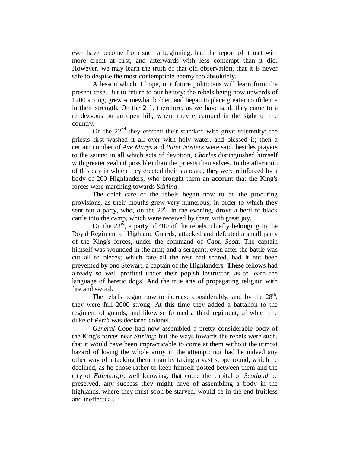ever have become from such a beginning, had the report of it met with more credit at first, and afterwards with less contempt than it did. However, we may learn the truth of that old observation, that it is never safe to despise the most contemptible enemy too absolutely.

A lesson which, I hope, our future politicians will learn from the present case. But to return to our history: the rebels being now upwards of 1200 strong, grew somewhat bolder, and began to place greater confidence in their strength. On the  $21<sup>st</sup>$ , therefore, as we have said, they came to a rendezvous on an open hill, where they encamped in the sight of the country.

On the 22<sup>nd</sup> they erected their standard with great solemnity: the priests first washed it all over with holy water, and blessed it; then a certain number of *Ave Marys* and *Pater Nosters* were said, besides prayers to the saints; in all which acts of devotion, *Charles* distinguished himself with greater zeal (if possible) than the priests themselves. In the afternoon of this day in which they erected their standard, they were reinforced by a body of 200 Highlanders, who brought them an account that the King's forces were marching towards *Stirling*.

The chief care of the rebels began now to be the procuring provisions, as their mouths grew very numerous; in order to which they sent out a party, who, on the  $22<sup>nd</sup>$  in the evening, drove a herd of black cattle into the camp, which were received by them with great joy.

On the  $23<sup>rd</sup>$ , a party of 400 of the rebels, chiefly belonging to the Royal Regiment of Highland Guards, attacked and defeated a small party of the King's forces, under the command of *Capt*. *Scott*. The captain himself was wounded in the arm; and a sergeant, even after the battle was cut all to pieces; which fate all the rest had shared, had it not been prevented by one Stewart, a captain of the Highlanders. **These** fellows had already so well profited under their popish instructor, as to learn the language of heretic dogs! And the true arts of propagating religion with fire and sword.

The rebels began now to increase considerably, and by the  $28<sup>th</sup>$ , they were full 2000 strong. At this time they added a battalion to the regiment of guards, and likewise formed a third regiment, of which the duke of *Perth* was declared colonel.

*General Cope* had now assembled a pretty considerable body of the King's forces near *Stirling*; but the ways towards the rebels were such, that it would have been impracticable to come at them without the utmost hazard of losing the whole army in the attempt: nor had he indeed any other way of attacking them, than by taking a vast scope round; which he declined, as he chose rather to keep himself posted between them and the city of *Edinburgh*; well knowing, that could the capital of *Scotland* be preserved, any success they might have of assembling a body in the highlands, where they must soon be starved, would be in the end fruitless and ineffectual.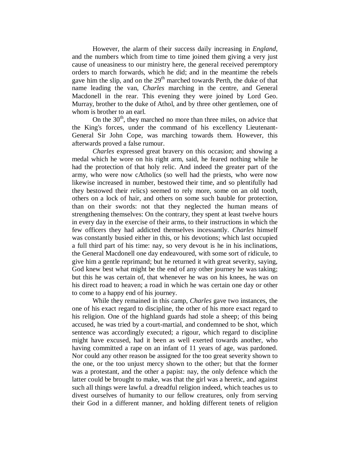However, the alarm of their success daily increasing in *England*, and the numbers which from time to time joined them giving a very just cause of uneasiness to our ministry here, the general received peremptory orders to march forwards, which he did; and in the meantime the rebels gave him the slip, and on the  $29<sup>th</sup>$  marched towards Perth, the duke of that name leading the van, *Charles* marching in the centre, and General Macdonell in the rear. This evening they were joined by Lord Geo. Murray, brother to the duke of Athol, and by three other gentlemen, one of whom is brother to an earl.

On the  $30<sup>th</sup>$ , they marched no more than three miles, on advice that the King's forces, under the command of his excellency Lieutenant-General Sir John Cope, was marching towards them. However, this afterwards proved a false rumour.

*Charles* expressed great bravery on this occasion; and showing a medal which he wore on his right arm, said, he feared nothing while he had the protection of that holy relic. And indeed the greater part of the army, who were now cAtholics (so well had the priests, who were now likewise increased in number, bestowed their time, and so plentifully had they bestowed their relics) seemed to rely more, some on an old tooth, others on a lock of hair, and others on some such bauble for protection, than on their swords: not that they neglected the human means of strengthening themselves: On the contrary, they spent at least twelve hours in every day in the exercise of their arms, to their instructions in which the few officers they had addicted themselves incessantly. *Charles* himself was constantly busied either in this, or his devotions; which last occupied a full third part of his time: nay, so very devout is he in his inclinations, the General Macdonell one day endeavoured, with some sort of ridicule, to give him a gentle reprimand; but he returned it with great severity, saying, God knew best what might be the end of any other journey he was taking; but this he was certain of, that whenever he was on his knees, he was on his direct road to heaven; a road in which he was certain one day or other to come to a happy end of his journey.

While they remained in this camp, *Charles* gave two instances, the one of his exact regard to discipline, the other of his more exact regard to his religion. One of the highland guards had stole a sheep; of this being accused, he was tried by a court-martial, and condemned to be shot, which sentence was accordingly executed; a rigour, which regard to discipline might have excused, had it been as well exerted towards another, who having committed a rape on an infant of 11 years of age, was pardoned. Nor could any other reason be assigned for the too great severity shown to the one, or the too unjust mercy shown to the other; but that the former was a protestant, and the other a papist: nay, the only defence which the latter could be brought to make, was that the girl was a heretic, and against such all things were lawful. a dreadful religion indeed, which teaches us to divest ourselves of humanity to our fellow creatures, only from serving their God in a different manner, and holding different tenets of religion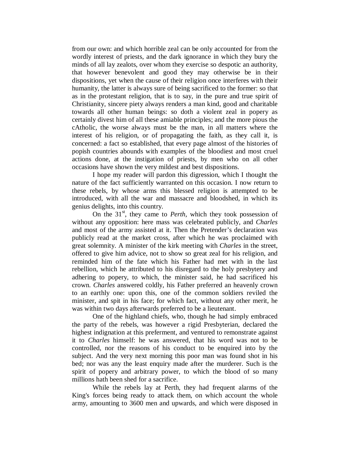from our own: and which horrible zeal can be only accounted for from the wordly interest of priests, and the dark ignorance in which they bury the minds of all lay zealots, over whom they exercise so despotic an authority, that however benevolent and good they may otherwise be in their dispositions, yet when the cause of their religion once interferes with their humanity, the latter is always sure of being sacrificed to the former: so that as in the protestant religion, that is to say, in the pure and true spirit of Christianity, sincere piety always renders a man kind, good and charitable towards all other human beings: so doth a violent zeal in popery as certainly divest him of all these amiable principles; and the more pious the cAtholic, the worse always must be the man, in all matters where the interest of his religion, or of propagating the faith, as they call it, is concerned: a fact so established, that every page almost of the histories of popish countries abounds with examples of the bloodiest and most cruel actions done, at the instigation of priests, by men who on all other occasions have shown the very mildest and best dispositions.

I hope my reader will pardon this digression, which I thought the nature of the fact sufficiently warranted on this occasion. I now return to these rebels, by whose arms this blessed religion is attempted to be introduced, with all the war and massacre and bloodshed, in which its genius delights, into this country.

On the 31<sup>st</sup>, they came to *Perth*, which they took possession of without any opposition: here mass was celebrated publicly, and *Charles* and most of the army assisted at it. Then the Pretender's declaration was publicly read at the market cross, after which he was proclaimed with great solemnity. A minister of the kirk meeting with *Charles* in the street, offered to give him advice, not to show so great zeal for his religion, and reminded him of the fate which his Father had met with in the last rebellion, which he attributed to his disregard to the holy presbytery and adhering to popery, to which, the minister said, he had sacrificed his crown. *Charles* answered coldly, his Father preferred an heavenly crown to an earthly one: upon this, one of the common soldiers reviled the minister, and spit in his face; for which fact, without any other merit, he was within two days afterwards preferred to be a lieutenant.

One of the highland chiefs, who, though he had simply embraced the party of the rebels, was however a rigid Presbyterian, declared the highest indignation at this preferment, and ventured to remonstrate against it to *Charles* himself: he was answered, that his word was not to be controlled, nor the reasons of his conduct to be enquired into by the subject. And the very next morning this poor man was found shot in his bed; nor was any the least enquiry made after the murderer. Such is the spirit of popery and arbitrary power, to which the blood of so many millions hath been shed for a sacrifice.

While the rebels lay at Perth, they had frequent alarms of the King's forces being ready to attack them, on which account the whole army, amounting to 3600 men and upwards, and which were disposed in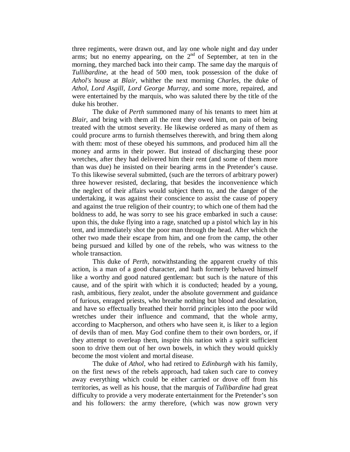three regiments, were drawn out, and lay one whole night and day under arms; but no enemy appearing, on the  $2<sup>nd</sup>$  of September, at ten in the morning, they marched back into their camp. The same day the marquis of *Tullibardine*, at the head of 500 men, took possession of the duke of *Athol's* house at *Blair*, whither the next morning *Charles*, the duke of *Athol*, *Lord Asgill*, *Lord George Murray*, and some more, repaired, and were entertained by the marquis, who was saluted there by the title of the duke his brother.

The duke of *Perth* summoned many of his tenants to meet him at *Blair*, and bring with them all the rent they owed him, on pain of being treated with the utmost severity. He likewise ordered as many of them as could procure arms to furnish themselves therewith, and bring them along with them: most of these obeyed his summons, and produced him all the money and arms in their power. But instead of discharging these poor wretches, after they had delivered him their rent (and some of them more than was due) he insisted on their bearing arms in the Pretender's cause. To this likewise several submitted, (such are the terrors of arbitrary power) three however resisted, declaring, that besides the inconvenience which the neglect of their affairs would subject them to, and the danger of the undertaking, it was against their conscience to assist the cause of popery and against the true religion of their country; to which one of them had the boldness to add, he was sorry to see his grace embarked in such a cause: upon this, the duke flying into a rage, snatched up a pistol which lay in his tent, and immediately shot the poor man through the head. After which the other two made their escape from him, and one from the camp, the other being pursued and killed by one of the rebels, who was witness to the whole transaction.

This duke of *Perth*, notwithstanding the apparent cruelty of this action, is a man of a good character, and hath formerly behaved himself like a worthy and good natured gentleman: but such is the nature of this cause, and of the spirit with which it is conducted; headed by a young, rash, ambitious, fiery zealot, under the absolute government and guidance of furious, enraged priests, who breathe nothing but blood and desolation, and have so effectually breathed their horrid principles into the poor wild wretches under their influence and command, that the whole army, according to Macpherson, and others who have seen it, is liker to a legion of devils than of men. May God confine them to their own borders, or, if they attempt to overleap them, inspire this nation with a spirit sufficient soon to drive them out of her own bowels, in which they would quickly become the most violent and mortal disease.

The duke of *Athol*, who had retired to *Edinburgh* with his family, on the first news of the rebels approach, had taken such care to convey away everything which could be either carried or drove off from his territories, as well as his house, that the marquis of *Tullibardine* had great difficulty to provide a very moderate entertainment for the Pretender's son and his followers: the army therefore, (which was now grown very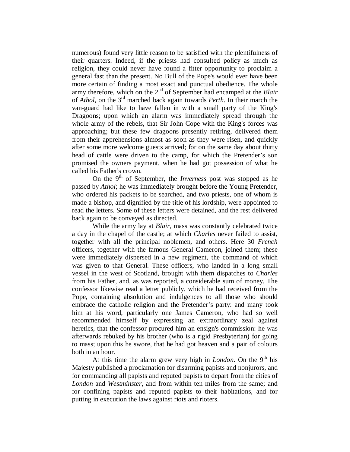numerous) found very little reason to be satisfied with the plentifulness of their quarters. Indeed, if the priests had consulted policy as much as religion, they could never have found a fitter opportunity to proclaim a general fast than the present. No Bull of the Pope's would ever have been more certain of finding a most exact and punctual obedience. The whole army therefore, which on the 2nd of September had encamped at the *Blair* of *Athol*, on the 3rd marched back again towards *Perth*. In their march the van-guard had like to have fallen in with a small party of the King's Dragoons; upon which an alarm was immediately spread through the whole army of the rebels, that Sir John Cope with the King's forces was approaching; but these few dragoons presently retiring, delivered them from their apprehensions almost as soon as they were risen, and quickly after some more welcome guests arrived; for on the same day about thirty head of cattle were driven to the camp, for which the Pretender's son promised the owners payment, when he had got possession of what he called his Father's crown.

On the 9th of September, the *Inverness* post was stopped as he passed by *Athol*; he was immediately brought before the Young Pretender, who ordered his packets to be searched, and two priests, one of whom is made a bishop, and dignified by the title of his lordship, were appointed to read the letters. Some of these letters were detained, and the rest delivered back again to be conveyed as directed.

While the army lay at *Blair*, mass was constantly celebrated twice a day in the chapel of the castle; at which *Charles* never failed to assist, together with all the principal noblemen, and others. Here 30 *French* officers, together with the famous General Cameron, joined them; these were immediately dispersed in a new regiment, the command of which was given to that General. These officers, who landed in a long small vessel in the west of Scotland, brought with them dispatches to *Charles* from his Father, and, as was reported, a considerable sum of money. The confessor likewise read a letter publicly, which he had received from the Pope, containing absolution and indulgences to all those who should embrace the catholic religion and the Pretender's party: and many took him at his word, particularly one James Cameron, who had so well recommended himself by expressing an extraordinary zeal against heretics, that the confessor procured him an ensign's commission: he was afterwards rebuked by his brother (who is a rigid Presbyterian) for going to mass; upon this he swore, that he had got heaven and a pair of colours both in an hour.

At this time the alarm grew very high in *London*. On the  $9<sup>th</sup>$  his Majesty published a proclamation for disarming papists and nonjurors, and for commanding all papists and reputed papists to depart from the cities of *London* and *Westminster*, and from within ten miles from the same; and for confining papists and reputed papists to their habitations, and for putting in execution the laws against riots and rioters.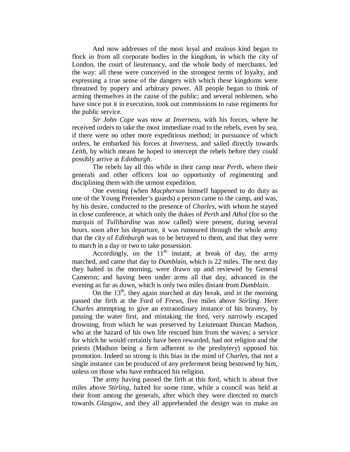And now addresses of the most loyal and zealous kind began to flock in from all corporate bodies in the kingdom, in which the city of London, the court of lieutenancy, and the whole body of merchants, led the way: all these were conceived in the strongest terms of loyalty, and expressing a true sense of the dangers with which these kingdoms were threatned by popery and arbitrary power. All people began to think of arming themselves in the cause of the public; and several noblemen, who have since put it in execution, took out commissions to raise regiments for the public service.

*Sir John Cope* was now at *Inverness*, with his forces, where he received orders to take the most immediate road to the rebels, even by sea, if there were no other more expeditious method; in pursuance of which orders, he embarked his forces at *Inverness*, and sailed directly towards *Leith*, by which means he hoped to intercept the rebels before they could possibly arrive at *Edinburgh*.

The rebels lay all this while in their camp near *Perth*, where their generals and other officers lost no opportunity of regimenting and disciplining them with the utmost expedition.

One evening (when *Macpherson* himself happened to do duty as one of the Young Pretender's guards) a person came to the camp, and was, by his desire, conducted to the presence of *Charles*, with whom he stayed in close conference, at which only the dukes of *Perth* and *Athol* (for so the marquis of *Tullibardine* was now called) were present, during several hours. soon after his departure, it was rumoured through the whole army that the city of *Edinburgh* was to be betrayed to them, and that they were to march in a day or two to take possession.

Accordingly, on the  $11<sup>th</sup>$  instant, at break of day, the army marched, and came that day to *Dumblain*, which is 22 miles. The next day they halted in the morning, were drawn up and reviewed by General Cameron; and having been under arms all that day, advanced in the evening as far as down, which is only two miles distant from *Dumblain*.

On the  $13<sup>th</sup>$ , they again marched at day break, and in the morning passed the firth at the Ford of *Frews*, five miles above *Stirling*. Here *Charles* attempting to give an extraordinary instance of his bravery, by passing the water first, and mistaking the ford, very narrowly escaped drowning, from which he was preserved by Leiutenant Duncan Madson, who at the hazard of his own life rescued him from the waves; a service for which he would certainly have been rewarded, had not religion and the priests (Madson being a firm adherent to the presbytery) opposed his promotion. Indeed so strong is this bias in the mind of *Charles*, that not a single instance can be produced of any preferment being bestowed by him, unless on those who have embraced his religion.

The army having passed the firth at this ford, which is about five miles above *Stirling*, halted for some time, while a council was held at their front among the generals, after which they were directed to march towards *Glasgow*, and they all apprehended the design was to make an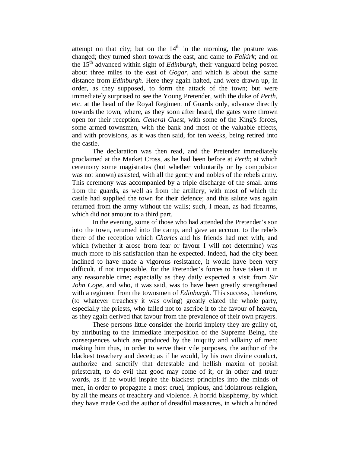attempt on that city; but on the  $14<sup>th</sup>$  in the morning, the posture was changed; they turned short towards the east, and came to *Falkirk*; and on the 15th advanced within sight of *Edinburgh*, their vanguard being posted about three miles to the east of *Gogar*, and which is about the same distance from *Edinburgh*. Here they again halted, and were drawn up, in order, as they supposed, to form the attack of the town; but were immediately surprised to see the Young Pretender, with the duke of *Perth*, etc. at the head of the Royal Regiment of Guards only, advance directly towards the town, where, as they soon after heard, the gates were thrown open for their reception. *General Guest,* with some of the King's forces, some armed townsmen, with the bank and most of the valuable effects, and with provisions, as it was then said, for ten weeks, being retired into the castle.

The declaration was then read, and the Pretender immediately proclaimed at the Market Cross, as he had been before at *Perth*; at which ceremony some magistrates (but whether voluntarily or by compulsion was not known) assisted, with all the gentry and nobles of the rebels army. This ceremony was accompanied by a triple discharge of the small arms from the guards, as well as from the artillery, with most of which the castle had supplied the town for their defence; and this salute was again returned from the army without the walls; such, I mean, as had firearms, which did not amount to a third part.

In the evening, some of those who had attended the Pretender's son into the town, returned into the camp, and gave an account to the rebels there of the reception which *Charles* and his friends had met with; and which (whether it arose from fear or favour I will not determine) was much more to his satisfaction than he expected. Indeed, had the city been inclined to have made a vigorous resistance, it would have been very difficult, if not impossible, for the Pretender's forces to have taken it in any reasonable time; especially as they daily expected a visit from *Sir John Cope*, and who, it was said, was to have been greatly strengthened with a regiment from the townsmen of *Edinburgh*. This success, therefore, (to whatever treachery it was owing) greatly elated the whole party, especially the priests, who failed not to ascribe it to the favour of heaven, as they again derived that favour from the prevalence of their own prayers.

These persons little consider the horrid impiety they are guilty of, by attributing to the immediate interposition of the Supreme Being, the consequences which are produced by the iniquity and villainy of men; making him thus, in order to serve their vile purposes, the author of the blackest treachery and deceit; as if he would, by his own divine conduct, authorize and sanctify that detestable and hellish maxim of popish priestcraft, to do evil that good may come of it; or in other and truer words, as if he would inspire the blackest principles into the minds of men, in order to propagate a most cruel, impious, and idolatrous religion, by all the means of treachery and violence. A horrid blasphemy, by which they have made God the author of dreadful massacres, in which a hundred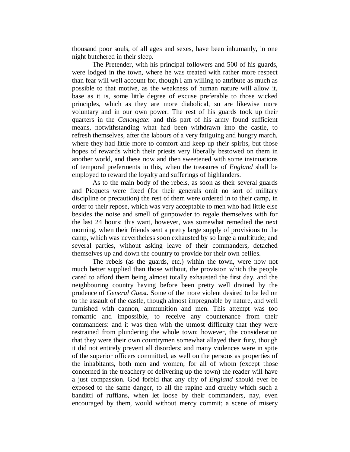thousand poor souls, of all ages and sexes, have been inhumanly, in one night butchered in their sleep.

The Pretender, with his principal followers and 500 of his guards, were lodged in the town, where he was treated with rather more respect than fear will well account for, though I am willing to attribute as much as possible to that motive, as the weakness of human nature will allow it, base as it is, some little degree of excuse preferable to those wicked principles, which as they are more diabolical, so are likewise more voluntary and in our own power. The rest of his guards took up their quarters in the *Canongate*: and this part of his army found sufficient means, notwithstanding what had been withdrawn into the castle, to refresh themselves, after the labours of a very fatiguing and hungry march, where they had little more to comfort and keep up their spirits, but those hopes of rewards which their priests very liberally bestowed on them in another world, and these now and then sweetened with some insinuations of temporal preferments in this, when the treasures of *England* shall be employed to reward the loyalty and sufferings of highlanders.

As to the main body of the rebels, as soon as their several guards and Picquets were fixed (for their generals omit no sort of military discipline or precaution) the rest of them were ordered in to their camp, in order to their repose, which was very acceptable to men who had little else besides the noise and smell of gunpowder to regale themselves with for the last 24 hours: this want, however, was somewhat remedied the next morning, when their friends sent a pretty large supply of provisions to the camp, which was nevertheless soon exhausted by so large a multitude; and several parties, without asking leave of their commanders, detached themselves up and down the country to provide for their own bellies.

The rebels (as the guards, etc.) within the town, were now not much better supplied than those without, the provision which the people cared to afford them being almost totally exhausted the first day, and the neighbouring country having before been pretty well drained by the prudence of *General Guest.* Some of the more violent desired to be led on to the assault of the castle, though almost impregnable by nature, and well furnished with cannon, ammunition and men. This attempt was too romantic and impossible, to receive any countenance from their commanders: and it was then with the utmost difficulty that they were restrained from plundering the whole town; however, the consideration that they were their own countrymen somewhat allayed their fury, though it did not entirely prevent all disorders; and many violences were in spite of the superior officers committed, as well on the persons as properties of the inhabitants, both men and women; for all of whom (except those concerned in the treachery of delivering up the town) the reader will have a just compassion. God forbid that any city of *England* should ever be exposed to the same danger, to all the rapine and cruelty which such a banditti of ruffians, when let loose by their commanders, nay, even encouraged by them, would without mercy commit; a scene of misery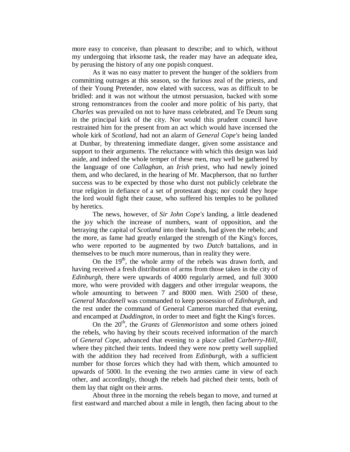more easy to conceive, than pleasant to describe; and to which, without my undergoing that irksome task, the reader may have an adequate idea, by perusing the history of any one popish conquest.

As it was no easy matter to prevent the hunger of the soldiers from committing outrages at this season, so the furious zeal of the priests, and of their Young Pretender, now elated with success, was as difficult to be bridled: and it was not without the utmost persuasion, backed with some strong remonstrances from the cooler and more politic of his party, that *Charles* was prevailed on not to have mass celebrated, and Te Deum sung in the principal kirk of the city. Nor would this prudent council have restrained him for the present from an act which would have incensed the whole kirk of *Scotland*, had not an alarm of *General Cope's* being landed at Dunbar, by threatening immediate danger, given some assistance and support to their arguments. The reluctance with which this design was laid aside, and indeed the whole temper of these men, may well be gathered by the language of one *Callaghan*, an *Irish* priest, who had newly joined them, and who declared, in the hearing of Mr. Macpherson, that no further success was to be expected by those who durst not publicly celebrate the true religion in defiance of a set of protestant dogs; nor could they hope the lord would fight their cause, who suffered his temples to be polluted by heretics.

The news, however, of *Sir John Cope's* landing, a little deadened the joy which the increase of numbers, want of opposition, and the betraying the capital of *Scotland* into their hands, had given the rebels; and the more, as fame had greatly enlarged the strength of the King's forces, who were reported to be augmented by two *Dutch* battalions, and in themselves to be much more numerous, than in reality they were.

On the  $19<sup>th</sup>$ , the whole army of the rebels was drawn forth, and having received a fresh distribution of arms from those taken in the city of *Edinburgh*, there were upwards of 4000 regularly armed, and full 3000 more, who were provided with daggers and other irregular weapons, the whole amounting to between 7 and 8000 men. With 2500 of these, *General Macdonell* was commanded to keep possession of *Edinburgh*, and the rest under the command of General Cameron marched that evening, and encamped at *Duddington*, in order to meet and fight the King's forces.

On the 20<sup>th</sup>, the *Grants* of *Glenmoriston* and some others joined the rebels, who having by their scouts received information of the march of *General Cope*, advanced that evening to a place called *Carberry-Hill*, where they pitched their tents. Indeed they were now pretty well supplied with the addition they had received from *Edinburgh*, with a sufficient number for those forces which they had with them, which amounted to upwards of 5000. In the evening the two armies came in view of each other, and accordingly, though the rebels had pitched their tents, both of them lay that night on their arms.

About three in the morning the rebels began to move, and turned at first eastward and marched about a mile in length, then facing about to the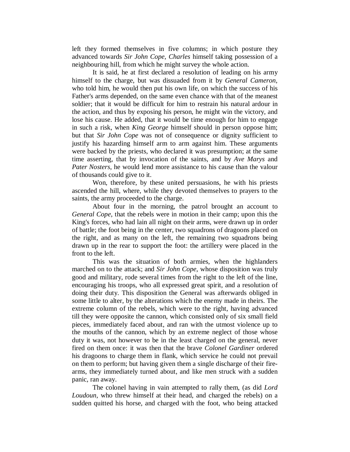left they formed themselves in five columns; in which posture they advanced towards *Sir John Cope, Charles* himself taking possession of a neighbouring hill, from which he might survey the whole action.

It is said, he at first declared a resolution of leading on his army himself to the charge, but was dissuaded from it by *General Cameron*, who told him, he would then put his own life, on which the success of his Father's arms depended, on the same even chance with that of the meanest soldier; that it would be difficult for him to restrain his natural ardour in the action, and thus by exposing his person, he might win the victory, and lose his cause. He added, that it would be time enough for him to engage in such a risk, when *King George* himself should in person oppose him; but that *Sir John Cope* was not of consequence or dignity sufficient to justify his hazarding himself arm to arm against him. These arguments were backed by the priests, who declared it was presumption; at the same time asserting, that by invocation of the saints, and by *Ave Marys* and *Pater Nosters*, he would lend more assistance to his cause than the valour of thousands could give to it.

Won, therefore, by these united persuasions, he with his priests ascended the hill, where, while they devoted themselves to prayers to the saints, the army proceeded to the charge.

About four in the morning, the patrol brought an account to *General Cope*, that the rebels were in motion in their camp; upon this the King's forces, who had lain all night on their arms, were drawn up in order of battle; the foot being in the center, two squadrons of dragoons placed on the right, and as many on the left, the remaining two squadrons being drawn up in the rear to support the foot: the artillery were placed in the front to the left.

This was the situation of both armies, when the highlanders marched on to the attack; and *Sir John Cope*, whose disposition was truly good and military, rode several times from the right to the left of the line, encouraging his troops, who all expressed great spirit, and a resolution of doing their duty. This disposition the General was afterwards obliged in some little to alter, by the alterations which the enemy made in theirs. The extreme column of the rebels, which were to the right, having advanced till they were opposite the cannon, which consisted only of six small field pieces, immediately faced about, and ran with the utmost violence up to the mouths of the cannon, which by an extreme neglect of those whose duty it was, not however to be in the least charged on the general, never fired on them once: it was then that the brave *Colonel Gardiner* ordered his dragoons to charge them in flank, which service he could not prevail on them to perform; but having given them a single discharge of their firearms, they immediately turned about, and like men struck with a sudden panic, ran away.

The colonel having in vain attempted to rally them, (as did *Lord Loudoun*, who threw himself at their head, and charged the rebels) on a sudden quitted his horse, and charged with the foot, who being attacked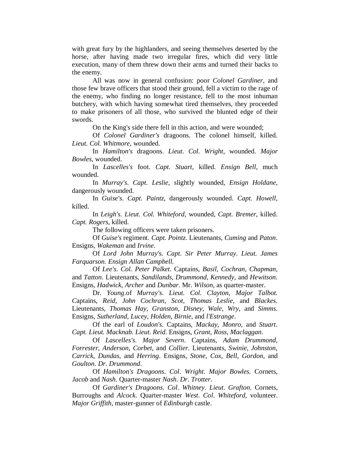with great fury by the highlanders, and seeing themselves deserted by the horse, after having made two irregular fires, which did very little execution, many of them threw down their arms and turned their backs to the enemy.

All was now in general confusion: poor *Colonel Gardiner*, and those few brave officers that stood their ground, fell a victim to the rage of the enemy, who finding no longer resistance, fell to the most inhuman butchery, with which having somewhat tired themselves, they proceeded to make prisoners of all those, who survived the blunted edge of their swords.

On the King's side there fell in this action, and were wounded;

Of *Colonel Gardiner's* dragoons. The colonel himself, killed. *Lieut. Col. Whitmore,* wounded.

In *Hamilton's* dragoons. *Lieut. Col. Wright*, wounded. *Major Bowles*, wounded.

In *Lascelles's* foot. *Capt. Stuart*, killed. *Ensign Bell*, much wounded.

In *Murray's*. *Capt. Leslie*, slightly wounded, *Ensign Holdane*, dangerously wounded.

In *Guise's*. *Capt. Paintz*, dangerously wounded. *Capt. Howell*, killed.

In *Leigh's*. *Lieut. Col. Whiteford*, wounded, *Capt. Bremer*, killed. *Capt. Rogers*, killed.

The following officers were taken prisoners.

Of *Guise's* regiment. *Capt. Pointz*. Lieutenants, *Cuming* and *Paton*. Ensigns, *Wakeman* and *Irvine*.

Of *Lord John Murray*'s. *Capt. Sir Peter Murray*. *Lieut. James Farquarson. Ensign Allan Campbell.*

Of *Lee's*. *Col. Peter Palket*. Captains, *Basil, Cochran*, *Chapman*, and *Tatton*. Lieutenants, *Sandilands*, *Drummond*, *Kennedy*, and *Hewitson*. Ensigns, *Hadwick*, *Archer* and *Dunbar*. Mr. *Wilson*, as quarter-master.

Dr. *Young*.of *Murray's*. *Lieut. Col. Clayton, Major Talbot. C*aptains, *Reid*, *John Cochran*, *Scot*, *Thomas Leslie*, and *Blackes*. Lieutenants, *Thomas Hay*, *Granston*, *Disney*, *Wale*, *Wry*, and *Simms*. Ensigns, *Sutherland*, *Lucey*, *Holden*, *Birnie*, and *l'Estrange*.

Of the earl of *Loudon's*. Captains, *Mackay*, *Monro*, and *Stuart*. *Capt. Lieut. Macknab. Lieut*. *Reid*. Ensigns, *Grant*, *Ross*, *Maclaggan*.

Of *Lascelles's*. *Major Severn*. Captains, *Adam Drummond*, *Forrester*, *Anderson*, *Corbet*, and *Collier*. Lieutenants, *Swinie*, *Johnston*, *Carrick*, *Dundas*, and *Herring*. Ensigns, *Stone*, *Cox*, *Bell*, *Gordon*, and *Goulton*. *Dr*. *Drummond*.

Of *Hamilton's Dragoons*. *Col*. *Wright*. *Major Bowles*. Cornets, *Jacob* and *Nash*. Quarter-master *Nash*. *Dr*. *Trotter*.

Of *Gardiner's Dragoons*. *Col*. *Whitney*. *Lieut*. *Grafton*. Cornets, Burroughs and *Alcock*. Quarter-master *West*. *Col*. *Whiteford*, volunteer. *Major Griffith*, master-gunner of *Edinburgh* castle.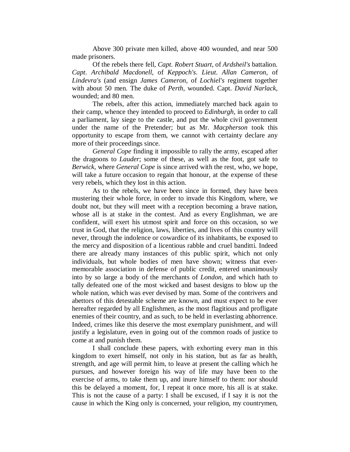Above 300 private men killed, above 400 wounded, and near 500 made prisoners.

Of the rebels there fell, *Capt. Robert Stuart*, of *Ardsheil's* battalion. *Capt*. *Archibald Macdonell*, of *Keppoch's*. *Lieut*. *Allan Cameron*, of *Lindevra's* (and ensign *James Cameron*, of *Lochiel's* regiment together with about 50 men. The duke of *Perth*, wounded. Capt. *David Narlack*, wounded; and 80 men.

The rebels, after this action, immediately marched back again to their camp, whence they intended to proceed to *Edinburgh*, in order to call a parliament, lay siege to the castle, and put the whole civil government under the name of the Pretender; but as Mr. *Macpherson* took this opportunity to escape from them, we cannot with certainty declare any more of their proceedings since.

*General Cope* finding it impossible to rally the army, escaped after the dragoons to *Lauder*; some of these, as well as the foot, got safe to *Berwick*, where *General Cope* is since arrived with the rest, who, we hope, will take a future occasion to regain that honour, at the expense of these very rebels, which they lost in this action.

As to the rebels, we have been since in formed, they have been mustering their whole force, in order to invade this Kingdom, where, we doubt not, but they will meet with a reception becoming a brave nation, whose all is at stake in the contest. And as every Englishman, we are confident, will exert his utmost spirit and force on this occasion, so we trust in God, that the religion, laws, liberties, and lives of this country will never, through the indolence or cowardice of its inhabitants, be exposed to the mercy and disposition of a licentious rabble and cruel banditti. Indeed there are already many instances of this public spirit, which not only individuals, but whole bodies of men have shown; witness that evermemorable association in defense of public credit, entered unanimously into by so large a body of the merchants of *London*, and which hath to tally defeated one of the most wicked and basest designs to blow up the whole nation, which was ever devised by man. Some of the contrivers and abettors of this detestable scheme are known, and must expect to be ever hereafter regarded by all Englishmen, as the most flagitious and profligate enemies of their country, and as such, to be held in everlasting abhorrence. Indeed, crimes like this deserve the most exemplary punishment, and will justify a legislature, even in going out of the common roads of justice to come at and punish them.

I shall conclude these papers, with exhorting every man in this kingdom to exert himself, not only in his station, but as far as health, strength, and age will permit him, to leave at present the calling which he pursues, and however foreign his way of life may have been to the exercise of arms, to take them up, and inure himself to them: nor should this be delayed a moment, for, I repeat it once more, his all is at stake. This is not the cause of a party: I shall be excused, if I say it is not the cause in which the King only is concerned, your religion, my countrymen,